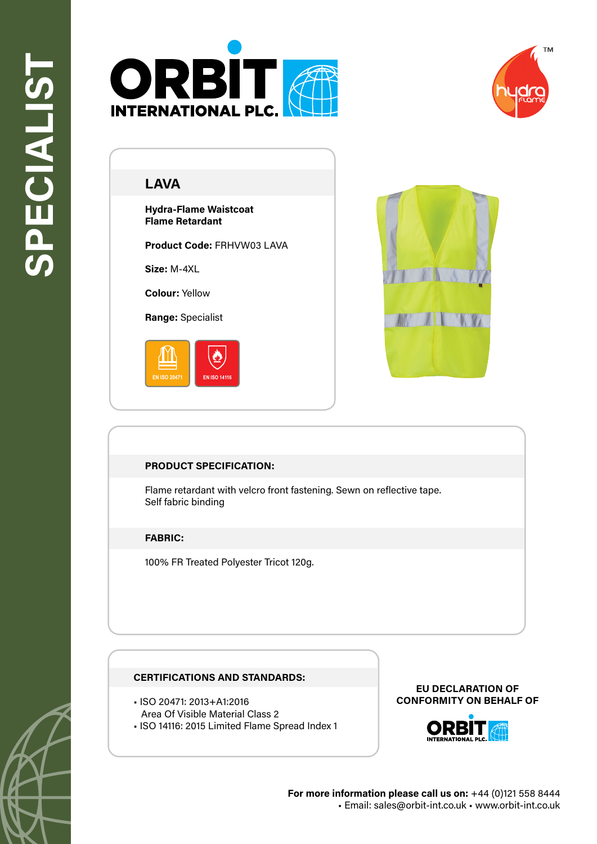



# **LAVA**

**Hydra-Flame Waistcoat Flame Retardant**

**Product Code:** FRHVW03 LAVA

**Size:** M-4XL

**Colour:** Yellow

**Range:** Specialist





### **PRODUCT SPECIFICATION:**

Flame retardant with velcro front fastening. Sewn on reflective tape. Self fabric binding

### **FABRIC:**

100% FR Treated Polyester Tricot 120g.

### **CERTIFICATIONS AND STANDARDS:**

- ISO 20471: 2013+A1:2016
- Area Of Visible Material Class 2
- ISO 14116: 2015 Limited Flame Spread Index 1

#### **EU DECLARATION OF CONFORMITY ON BEHALF OF**



**For more information please call us on:** +44 (0)121 558 8444 • Email: sales@orbit-int.co.uk • www.orbit-int.co.uk